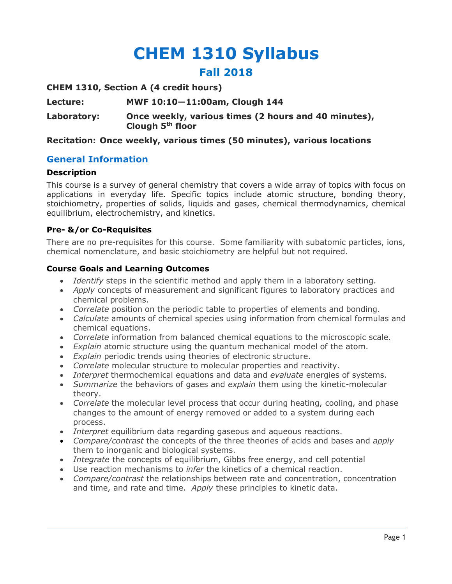# **CHEM 1310 Syllabus Fall 2018**

**CHEM 1310, Section A (4 credit hours)**

**Lecture: MWF 10:10—11:00am, Clough 144**

**Laboratory: Once weekly, various times (2 hours and 40 minutes), Clough 5th floor**

## **Recitation: Once weekly, various times (50 minutes), various locations**

## **General Information**

#### **Description**

This course is a survey of general chemistry that covers a wide array of topics with focus on applications in everyday life. Specific topics include atomic structure, bonding theory, stoichiometry, properties of solids, liquids and gases, chemical thermodynamics, chemical equilibrium, electrochemistry, and kinetics.

#### **Pre- &/or Co-Requisites**

There are no pre-requisites for this course. Some familiarity with subatomic particles, ions, chemical nomenclature, and basic stoichiometry are helpful but not required.

#### **Course Goals and Learning Outcomes**

- *Identify* steps in the scientific method and apply them in a laboratory setting.
- *Apply* concepts of measurement and significant figures to laboratory practices and chemical problems.
- *Correlate* position on the periodic table to properties of elements and bonding.
- *Calculate* amounts of chemical species using information from chemical formulas and chemical equations.
- *Correlate* information from balanced chemical equations to the microscopic scale.
- *Explain* atomic structure using the quantum mechanical model of the atom.
- *Explain* periodic trends using theories of electronic structure.
- *Correlate* molecular structure to molecular properties and reactivity.
- *Interpret* thermochemical equations and data and *evaluate* energies of systems.
- *Summarize* the behaviors of gases and *explain* them using the kinetic-molecular theory.
- *Correlate* the molecular level process that occur during heating, cooling, and phase changes to the amount of energy removed or added to a system during each process.
- *Interpret* equilibrium data regarding gaseous and aqueous reactions.
- *Compare/contrast* the concepts of the three theories of acids and bases and *apply*  them to inorganic and biological systems.
- *Integrate* the concepts of equilibrium, Gibbs free energy, and cell potential
- Use reaction mechanisms to *infer* the kinetics of a chemical reaction.
- *Compare/contrast* the relationships between rate and concentration, concentration and time, and rate and time. *Apply* these principles to kinetic data.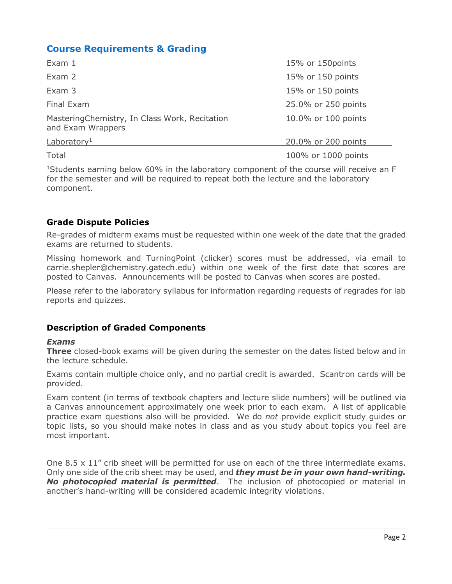# **Course Requirements & Grading**

| Exam $1$                                                           | 15% or 150 points   |
|--------------------------------------------------------------------|---------------------|
| Exam 2                                                             | 15% or 150 points   |
| Exam 3                                                             | 15% or 150 points   |
| Final Exam                                                         | 25.0% or 250 points |
| MasteringChemistry, In Class Work, Recitation<br>and Exam Wrappers | 10.0% or 100 points |
| Laboratory <sup>1</sup>                                            | 20.0% or 200 points |
| Total                                                              | 100% or 1000 points |

<sup>1</sup>Students earning below 60% in the laboratory component of the course will receive an F for the semester and will be required to repeat both the lecture and the laboratory component.

## **Grade Dispute Policies**

Re-grades of midterm exams must be requested within one week of the date that the graded exams are returned to students.

Missing homework and TurningPoint (clicker) scores must be addressed, via email to carrie.shepler@chemistry.gatech.edu) within one week of the first date that scores are posted to Canvas. Announcements will be posted to Canvas when scores are posted.

Please refer to the laboratory syllabus for information regarding requests of regrades for lab reports and quizzes.

## **Description of Graded Components**

#### *Exams*

**Three** closed-book exams will be given during the semester on the dates listed below and in the lecture schedule.

Exams contain multiple choice only, and no partial credit is awarded. Scantron cards will be provided.

Exam content (in terms of textbook chapters and lecture slide numbers) will be outlined via a Canvas announcement approximately one week prior to each exam. A list of applicable practice exam questions also will be provided. We do *not* provide explicit study guides or topic lists, so you should make notes in class and as you study about topics you feel are most important.

One  $8.5 \times 11$ " crib sheet will be permitted for use on each of the three intermediate exams. Only one side of the crib sheet may be used, and *they must be in your own hand-writing. No photocopied material is permitted*. The inclusion of photocopied or material in another's hand-writing will be considered academic integrity violations.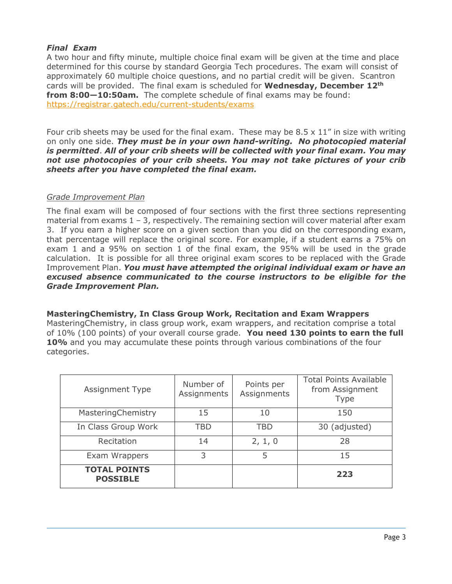## *Final Exam*

A two hour and fifty minute, multiple choice final exam will be given at the time and place determined for this course by standard Georgia Tech procedures. The exam will consist of approximately 60 multiple choice questions, and no partial credit will be given. Scantron cards will be provided. The final exam is scheduled for **Wednesday, December 12th from 8:00—10:50am.** The complete schedule of final exams may be found: https://registrar.gatech.edu/current-students/exams

Four crib sheets may be used for the final exam. These may be  $8.5 \times 11$ " in size with writing on only one side. *They must be in your own hand-writing. No photocopied material is permitted*. *All of your crib sheets will be collected with your final exam. You may not use photocopies of your crib sheets. You may not take pictures of your crib sheets after you have completed the final exam.*

## *Grade Improvement Plan*

The final exam will be composed of four sections with the first three sections representing material from exams  $1 - 3$ , respectively. The remaining section will cover material after exam 3. If you earn a higher score on a given section than you did on the corresponding exam, that percentage will replace the original score. For example, if a student earns a 75% on exam 1 and a 95% on section 1 of the final exam, the 95% will be used in the grade calculation. It is possible for all three original exam scores to be replaced with the Grade Improvement Plan. *You must have attempted the original individual exam or have an excused absence communicated to the course instructors to be eligible for the Grade Improvement Plan.*

**MasteringChemistry, In Class Group Work, Recitation and Exam Wrappers** MasteringChemistry, in class group work, exam wrappers, and recitation comprise a total of 10% (100 points) of your overall course grade. **You need 130 points to earn the full 10%** and you may accumulate these points through various combinations of the four categories.

| <b>Assignment Type</b>                 | Number of<br>Assignments | Points per<br>Assignments | <b>Total Points Available</b><br>from Assignment<br><b>Type</b> |
|----------------------------------------|--------------------------|---------------------------|-----------------------------------------------------------------|
| MasteringChemistry                     | 15                       | 10                        | 150                                                             |
| In Class Group Work                    | TBD                      | TBD                       | 30 (adjusted)                                                   |
| Recitation                             | 14                       | 2, 1, 0                   | 28                                                              |
| Exam Wrappers                          | 3                        | 5                         | 15                                                              |
| <b>TOTAL POINTS</b><br><b>POSSIBLE</b> |                          |                           | 223                                                             |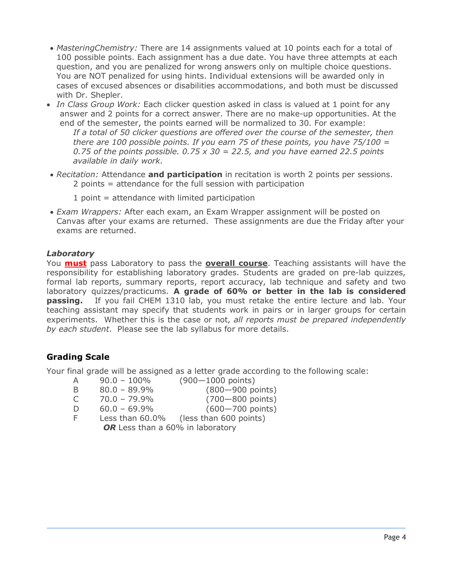- *MasteringChemistry:* There are 14 assignments valued at 10 points each for a total of 100 possible points. Each assignment has a due date. You have three attempts at each question, and you are penalized for wrong answers only on multiple choice questions. You are NOT penalized for using hints. Individual extensions will be awarded only in cases of excused absences or disabilities accommodations, and both must be discussed with Dr. Shepler.
- *In Class Group Work:* Each clicker question asked in class is valued at 1 point for any answer and 2 points for a correct answer. There are no make-up opportunities. At the end of the semester, the points earned will be normalized to 30. For example:

*If a total of 50 clicker questions are offered over the course of the semester, then there are 100 possible points. If you earn 75 of these points, you have 75/100 = 0.75 of the points possible. 0.75 x 30 = 22.5, and you have earned 22.5 points available in daily work.*

- *Recitation:* Attendance **and participation** in recitation is worth 2 points per sessions. 2 points = attendance for the full session with participation
	- $1$  point = attendance with limited participation
- *Exam Wrappers:* After each exam, an Exam Wrapper assignment will be posted on Canvas after your exams are returned. These assignments are due the Friday after your exams are returned.

## *Laboratory*

You **must** pass Laboratory to pass the **overall course**. Teaching assistants will have the responsibility for establishing laboratory grades. Students are graded on pre-lab quizzes, formal lab reports, summary reports, report accuracy, lab technique and safety and two laboratory quizzes/practicums. **A grade of 60% or better in the lab is considered passing.** If you fail CHEM 1310 lab, you must retake the entire lecture and lab. Your teaching assistant may specify that students work in pairs or in larger groups for certain experiments. Whether this is the case or not, *all reports must be prepared independently by each student*. Please see the lab syllabus for more details.

## **Grading Scale**

Your final grade will be assigned as a letter grade according to the following scale:

- A 90.0 100% (900—1000 points)
- B 80.0 89.9% (800—900 points)
- C 70.0 79.9% (700—800 points)
- D 60.0 69.9% (600—700 points)
	- F Less than 60.0% (less than 600 points)

OR Less than a 60% in laboratory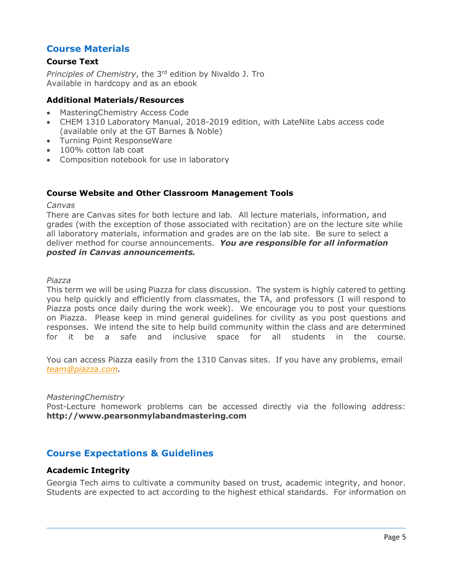## **Course Materials**

## **Course Text**

*Principles of Chemistry*, the 3rd edition by Nivaldo J. Tro Available in hardcopy and as an ebook

#### **Additional Materials/Resources**

- MasteringChemistry Access Code
- CHEM 1310 Laboratory Manual, 2018-2019 edition, with LateNite Labs access code (available only at the GT Barnes & Noble)
- Turning Point ResponseWare
- 100% cotton lab coat
- Composition notebook for use in laboratory

#### **Course Website and Other Classroom Management Tools**

#### *Canvas*

There are Canvas sites for both lecture and lab. All lecture materials, information, and grades (with the exception of those associated with recitation) are on the lecture site while all laboratory materials, information and grades are on the lab site. Be sure to select a deliver method for course announcements. *You are responsible for all information posted in Canvas announcements.*

*Piazza*

This term we will be using Piazza for class discussion. The system is highly catered to getting you help quickly and efficiently from classmates, the TA, and professors (I will respond to Piazza posts once daily during the work week). We encourage you to post your questions on Piazza. Please keep in mind general guidelines for civility as you post questions and responses. We intend the site to help build community within the class and are determined for it be a safe and inclusive space for all students in the course.

You can access Piazza easily from the 1310 Canvas sites. If you have any problems, email *team@piazza.com.*

#### *MasteringChemistry*

Post-Lecture homework problems can be accessed directly via the following address: **http://www.pearsonmylabandmastering.com**

## **Course Expectations & Guidelines**

#### **Academic Integrity**

Georgia Tech aims to cultivate a community based on trust, academic integrity, and honor. Students are expected to act according to the highest ethical standards. For information on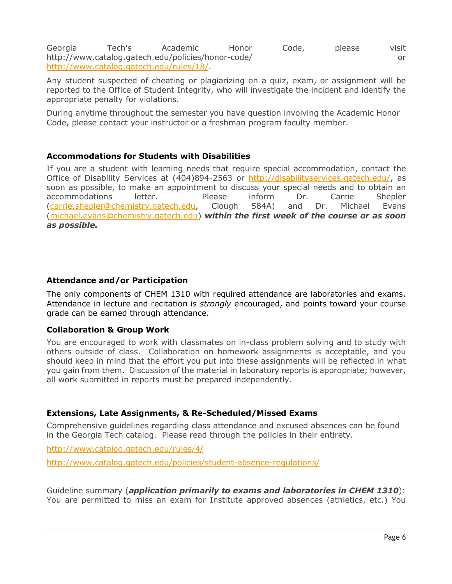Georgia Tech's Academic Honor Code, please visit http://www.catalog.gatech.edu/policies/honor-code/ or http://www.catalog.gatech.edu/rules/18/.

Any student suspected of cheating or plagiarizing on a quiz, exam, or assignment will be reported to the Office of Student Integrity, who will investigate the incident and identify the appropriate penalty for violations.

During anytime throughout the semester you have question involving the Academic Honor Code, please contact your instructor or a freshman program faculty member.

## **Accommodations for Students with Disabilities**

If you are a student with learning needs that require special accommodation, contact the Office of Disability Services at (404)894-2563 or http://disabilityservices.gatech.edu/, as soon as possible, to make an appointment to discuss your special needs and to obtain an accommodations letter. Please inform Dr. Carrie Shepler (carrie.shepler@chemistry.gatech.edu, Clough 584A) and Dr. Michael Evans (michael.evans@chemistry.gatech.edu) *within the first week of the course or as soon as possible.* 

## **Attendance and/or Participation**

The only components of CHEM 1310 with required attendance are laboratories and exams. Attendance in lecture and recitation is *strongly* encouraged, and points toward your course grade can be earned through attendance.

#### **Collaboration & Group Work**

You are encouraged to work with classmates on in-class problem solving and to study with others outside of class. Collaboration on homework assignments is acceptable, and you should keep in mind that the effort you put into these assignments will be reflected in what you gain from them. Discussion of the material in laboratory reports is appropriate; however, all work submitted in reports must be prepared independently.

## **Extensions, Late Assignments, & Re-Scheduled/Missed Exams**

Comprehensive guidelines regarding class attendance and excused absences can be found in the Georgia Tech catalog. Please read through the policies in their entirety.

http://www.catalog.gatech.edu/rules/4/

http://www.catalog.gatech.edu/policies/student-absence-regulations/

Guideline summary (*application primarily to exams and laboratories in CHEM 1310*): You are permitted to miss an exam for Institute approved absences (athletics, etc.) You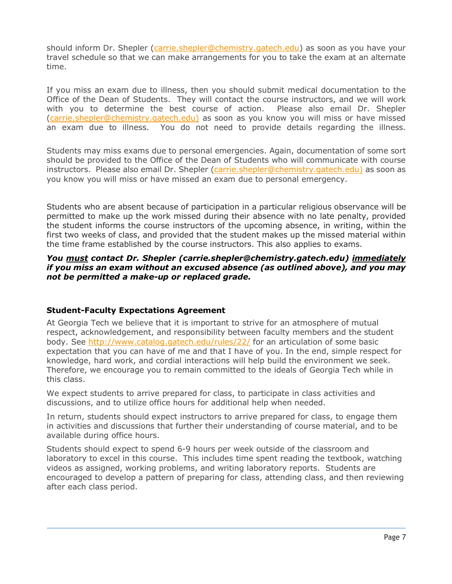should inform Dr. Shepler (carrie.shepler@chemistry.gatech.edu) as soon as you have your travel schedule so that we can make arrangements for you to take the exam at an alternate time.

If you miss an exam due to illness, then you should submit medical documentation to the Office of the Dean of Students. They will contact the course instructors, and we will work with you to determine the best course of action. Please also email Dr. Shepler (carrie.shepler@chemistry.gatech.edu) as soon as you know you will miss or have missed an exam due to illness. You do not need to provide details regarding the illness.

Students may miss exams due to personal emergencies. Again, documentation of some sort should be provided to the Office of the Dean of Students who will communicate with course instructors. Please also email Dr. Shepler (carrie.shepler@chemistry.gatech.edu) as soon as you know you will miss or have missed an exam due to personal emergency.

Students who are absent because of participation in a particular religious observance will be permitted to make up the work missed during their absence with no late penalty, provided the student informs the course instructors of the upcoming absence, in writing, within the first two weeks of class, and provided that the student makes up the missed material within the time frame established by the course instructors. This also applies to exams.

#### *You must contact Dr. Shepler (carrie.shepler@chemistry.gatech.edu) immediately if you miss an exam without an excused absence (as outlined above), and you may not be permitted a make-up or replaced grade.*

#### **Student-Faculty Expectations Agreement**

At Georgia Tech we believe that it is important to strive for an atmosphere of mutual respect, acknowledgement, and responsibility between faculty members and the student body. See http://www.catalog.gatech.edu/rules/22/ for an articulation of some basic expectation that you can have of me and that I have of you. In the end, simple respect for knowledge, hard work, and cordial interactions will help build the environment we seek. Therefore, we encourage you to remain committed to the ideals of Georgia Tech while in this class.

We expect students to arrive prepared for class, to participate in class activities and discussions, and to utilize office hours for additional help when needed.

In return, students should expect instructors to arrive prepared for class, to engage them in activities and discussions that further their understanding of course material, and to be available during office hours.

Students should expect to spend 6-9 hours per week outside of the classroom and laboratory to excel in this course. This includes time spent reading the textbook, watching videos as assigned, working problems, and writing laboratory reports. Students are encouraged to develop a pattern of preparing for class, attending class, and then reviewing after each class period.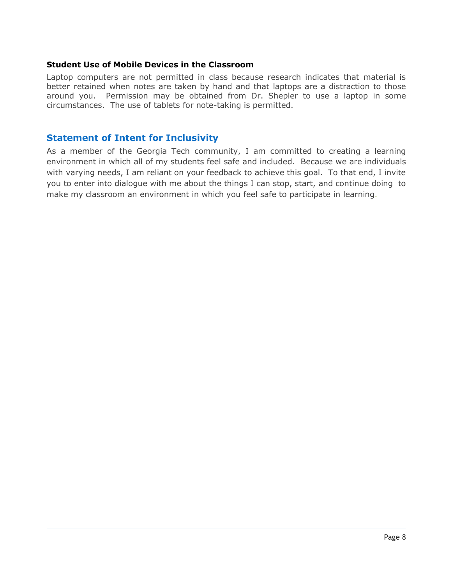#### **Student Use of Mobile Devices in the Classroom**

Laptop computers are not permitted in class because research indicates that material is better retained when notes are taken by hand and that laptops are a distraction to those around you. Permission may be obtained from Dr. Shepler to use a laptop in some circumstances. The use of tablets for note-taking is permitted.

## **Statement of Intent for Inclusivity**

As a member of the Georgia Tech community, I am committed to creating a learning environment in which all of my students feel safe and included. Because we are individuals with varying needs, I am reliant on your feedback to achieve this goal. To that end, I invite you to enter into dialogue with me about the things I can stop, start, and continue doing to make my classroom an environment in which you feel safe to participate in learning.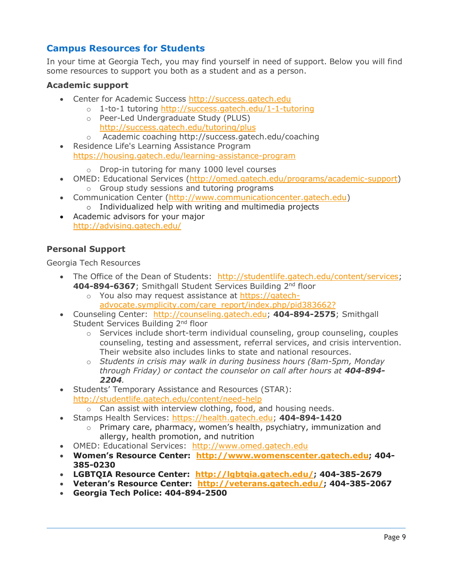# **Campus Resources for Students**

In your time at Georgia Tech, you may find yourself in need of support. Below you will find some resources to support you both as a student and as a person.

## **Academic support**

- Center for Academic Success http://success.gatech.edu
	- o 1-to-1 tutoring http://success.gatech.edu/1-1-tutoring
		- o Peer-Led Undergraduate Study (PLUS) http://success.gatech.edu/tutoring/plus
		- o Academic coaching http://success.gatech.edu/coaching
- Residence Life's Learning Assistance Program https://housing.gatech.edu/learning-assistance-program

o Drop-in tutoring for many 1000 level courses

- OMED: Educational Services (http://omed.gatech.edu/programs/academic-support)
	- o Group study sessions and tutoring programs
- Communication Center (http://www.communicationcenter.gatech.edu)
	- o Individualized help with writing and multimedia projects
- Academic advisors for your major http://advising.gatech.edu/

## **Personal Support**

Georgia Tech Resources

- The Office of the Dean of Students: http://studentlife.gatech.edu/content/services; **404-894-6367**; Smithgall Student Services Building 2nd floor
	- o You also may request assistance at https://gatechadvocate.symplicity.com/care\_report/index.php/pid383662?
- Counseling Center: http://counseling.gatech.edu; **404-894-2575**; Smithgall Student Services Building 2<sup>nd</sup> floor
	- $\circ$  Services include short-term individual counseling, group counseling, couples counseling, testing and assessment, referral services, and crisis intervention. Their website also includes links to state and national resources.
	- o *Students in crisis may walk in during business hours (8am-5pm, Monday through Friday) or contact the counselor on call after hours at 404-894- 2204.*
- Students' Temporary Assistance and Resources (STAR): http://studentlife.gatech.edu/content/need-help
	- $\circ$  Can assist with interview clothing, food, and housing needs.
- Stamps Health Services: https://health.gatech.edu; **404-894-1420**
	- $\circ$  Primary care, pharmacy, women's health, psychiatry, immunization and allergy, health promotion, and nutrition
- OMED: Educational Services: http://www.omed.gatech.edu
- **Women's Resource Center: http://www.womenscenter.gatech.edu; 404- 385-0230**
- **LGBTQIA Resource Center: http://lgbtqia.gatech.edu/; 404-385-2679**
- **Veteran's Resource Center: http://veterans.gatech.edu/; 404-385-2067**
- **Georgia Tech Police: 404-894-2500**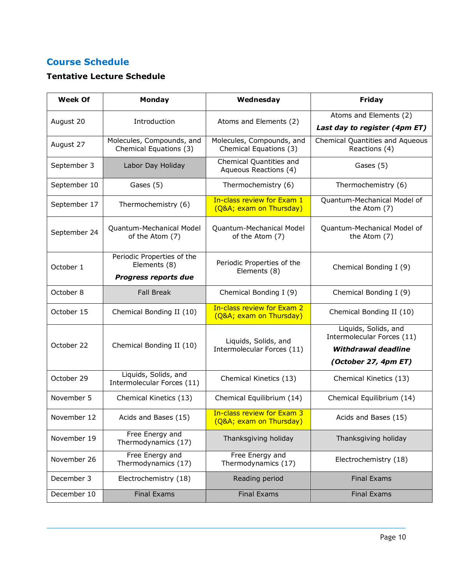# **Course Schedule**

# **Tentative Lecture Schedule**

| <b>Week Of</b> | Monday                                                                    | Wednesday                                            | <b>Friday</b>                                      |  |
|----------------|---------------------------------------------------------------------------|------------------------------------------------------|----------------------------------------------------|--|
|                | Introduction                                                              |                                                      | Atoms and Elements (2)                             |  |
| August 20      |                                                                           | Atoms and Elements (2)                               | Last day to register (4pm ET)                      |  |
| August 27      | Molecules, Compounds, and<br>Chemical Equations (3)                       | Molecules, Compounds, and<br>Chemical Equations (3)  | Chemical Quantities and Aqueous<br>Reactions (4)   |  |
| September 3    | Labor Day Holiday                                                         | Chemical Quantities and<br>Aqueous Reactions (4)     | Gases (5)                                          |  |
| September 10   | Gases (5)                                                                 | Thermochemistry (6)                                  | Thermochemistry (6)                                |  |
| September 17   | Thermochemistry (6)                                                       | In-class review for Exam 1<br>(Q&A exam on Thursday) | Quantum-Mechanical Model of<br>the Atom (7)        |  |
| September 24   | Quantum-Mechanical Model<br>of the Atom (7)                               | Quantum-Mechanical Model<br>of the Atom (7)          | Quantum-Mechanical Model of<br>the Atom (7)        |  |
| October 1      | Periodic Properties of the<br>Elements (8)<br><b>Progress reports due</b> | Periodic Properties of the<br>Elements (8)           | Chemical Bonding I (9)                             |  |
| October 8      | <b>Fall Break</b>                                                         | Chemical Bonding I (9)                               | Chemical Bonding I (9)                             |  |
| October 15     | Chemical Bonding II (10)                                                  | In-class review for Exam 2<br>(Q&A exam on Thursday) | Chemical Bonding II (10)                           |  |
|                | Chemical Bonding II (10)                                                  | Liquids, Solids, and                                 | Liquids, Solids, and<br>Intermolecular Forces (11) |  |
| October 22     |                                                                           | Intermolecular Forces (11)                           | <b>Withdrawal deadline</b>                         |  |
|                |                                                                           |                                                      | (October 27, 4pm ET)                               |  |
| October 29     | Liquids, Solids, and<br>Intermolecular Forces (11)                        | Chemical Kinetics (13)                               | Chemical Kinetics (13)                             |  |
| November 5     | Chemical Kinetics (13)                                                    | Chemical Equilibrium (14)                            | Chemical Equilibrium (14)                          |  |
| November 12    | Acids and Bases (15)                                                      | In-class review for Exam 3<br>(Q&A exam on Thursday) | Acids and Bases (15)                               |  |
| November 19    | Free Energy and<br>Thermodynamics (17)                                    | Thanksgiving holiday                                 | Thanksgiving holiday                               |  |
| November 26    | Free Energy and<br>Thermodynamics (17)                                    | Free Energy and<br>Thermodynamics (17)               | Electrochemistry (18)                              |  |
| December 3     | Electrochemistry (18)                                                     | Reading period                                       | <b>Final Exams</b>                                 |  |
| December 10    | <b>Final Exams</b>                                                        | <b>Final Exams</b>                                   | <b>Final Exams</b>                                 |  |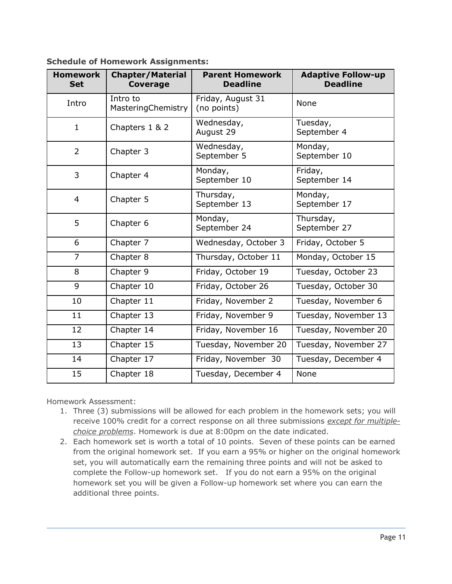| <b>Homework</b><br><b>Set</b> | <b>Chapter/Material</b><br><b>Coverage</b> | <b>Parent Homework</b><br><b>Deadline</b> | <b>Adaptive Follow-up</b><br><b>Deadline</b> |
|-------------------------------|--------------------------------------------|-------------------------------------------|----------------------------------------------|
| Intro                         | Intro to<br>MasteringChemistry             | Friday, August 31<br>(no points)          | None                                         |
| $\mathbf{1}$                  | Chapters 1 & 2                             | Wednesday,<br>August 29                   | Tuesday,<br>September 4                      |
| 2                             | Chapter 3                                  | Wednesday,<br>September 5                 | Monday,<br>September 10                      |
| 3                             | Chapter 4                                  | Monday,<br>September 10                   | Friday,<br>September 14                      |
| $\overline{4}$                | Chapter 5                                  | Thursday,<br>September 13                 | Monday,<br>September 17                      |
| 5                             | Chapter 6                                  | Monday,<br>September 24                   | Thursday,<br>September 27                    |
| 6                             | Chapter 7                                  | Wednesday, October 3                      | Friday, October 5                            |
| $\overline{7}$                | Chapter 8                                  | Thursday, October 11                      | Monday, October 15                           |
| 8                             | Chapter 9                                  | Friday, October 19                        | Tuesday, October 23                          |
| $\overline{9}$                | Chapter 10                                 | Friday, October 26                        | Tuesday, October 30                          |
| 10                            | Chapter 11                                 | Friday, November 2                        | Tuesday, November 6                          |
| 11                            | Chapter 13                                 | Friday, November 9                        | Tuesday, November 13                         |
| 12                            | Chapter 14                                 | Friday, November 16                       | Tuesday, November 20                         |
| 13                            | Chapter 15                                 | Tuesday, November 20                      | Tuesday, November 27                         |
| 14                            | Chapter 17                                 | Friday, November 30                       | Tuesday, December 4                          |
| 15                            | Chapter 18                                 | Tuesday, December 4                       | None                                         |

**Schedule of Homework Assignments:**

Homework Assessment:

- 1. Three (3) submissions will be allowed for each problem in the homework sets; you will receive 100% credit for a correct response on all three submissions *except for multiplechoice problems*. Homework is due at 8:00pm on the date indicated.
- 2. Each homework set is worth a total of 10 points. Seven of these points can be earned from the original homework set. If you earn a 95% or higher on the original homework set, you will automatically earn the remaining three points and will not be asked to complete the Follow-up homework set. If you do not earn a 95% on the original homework set you will be given a Follow-up homework set where you can earn the additional three points.